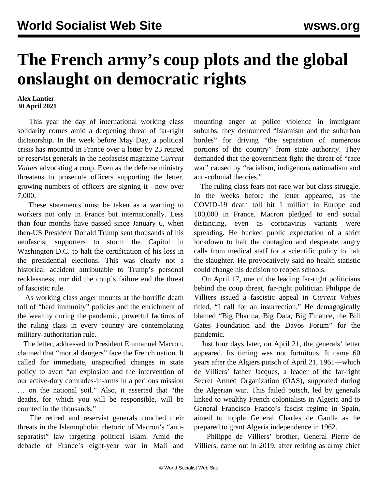## **The French army's coup plots and the global onslaught on democratic rights**

## **Alex Lantier 30 April 2021**

 This year the day of international working class solidarity comes amid a deepening threat of far-right dictatorship. In the week before May Day, a political crisis has mounted in France over a letter by 23 retired or reservist generals in the neofascist magazine *Current Values* advocating a coup. Even as the defense ministry threatens to prosecute officers supporting the letter, growing numbers of officers are signing it—now over 7,000.

 These statements must be taken as a warning to workers not only in France but internationally. Less than four months have passed since January 6, when then-US President Donald Trump sent thousands of his neofascist supporters to storm the Capitol in Washington D.C. to halt the certification of his loss in the presidential elections. This was clearly not a historical accident attributable to Trump's personal recklessness, nor did the coup's failure end the threat of fascistic rule.

 As working class anger mounts at the horrific death toll of "herd immunity" policies and the enrichment of the wealthy during the pandemic, powerful factions of the ruling class in every country are contemplating military-authoritarian rule.

 The letter, addressed to President Emmanuel Macron, claimed that "mortal dangers" face the French nation. It called for immediate, unspecified changes in state policy to avert "an explosion and the intervention of our active-duty comrades-in-arms in a perilous mission … on the national soil." Also, it asserted that "the deaths, for which you will be responsible, will be counted in the thousands."

 The retired and reservist generals couched their threats in the Islamophobic rhetoric of Macron's "antiseparatist" law targeting political Islam. Amid the debacle of France's eight-year war in Mali and mounting anger at police violence in immigrant suburbs, they denounced "Islamism and the suburban hordes" for driving "the separation of numerous portions of the country" from state authority. They demanded that the government fight the threat of "race war" caused by "racialism, indigenous nationalism and anti-colonial theories."

 The ruling class fears not race war but class struggle. In the weeks before the letter appeared, as the COVID-19 death toll hit 1 million in Europe and 100,000 in France, Macron pledged to end social distancing, even as coronavirus variants were spreading. He bucked public expectation of a strict lockdown to halt the contagion and desperate, angry calls from medical staff for a scientific policy to halt the slaughter. He provocatively said no health statistic could change his decision to reopen schools.

 On April 17, one of the leading far-right politicians behind the coup threat, far-right politician Philippe de Villiers issued a fascistic appeal in *Current Values* titled, "I call for an insurrection." He demagogically blamed "Big Pharma, Big Data, Big Finance, the Bill Gates Foundation and the Davos Forum" for the pandemic.

 Just four days later, on April 21, the generals' letter appeared. Its timing was not fortuitous. It came 60 years after the Algiers putsch of April 21, 1961—which de Villiers' father Jacques, a leader of the far-right Secret Armed Organization (OAS), supported during the Algerian war. This failed putsch, led by generals linked to wealthy French colonialists in Algeria and to General Francisco Franco's fascist regime in Spain, aimed to topple General Charles de Gaulle as he prepared to grant Algeria independence in 1962.

 Philippe de Villiers' brother, General Pierre de Villiers, came out in 2019, after retiring as army chief